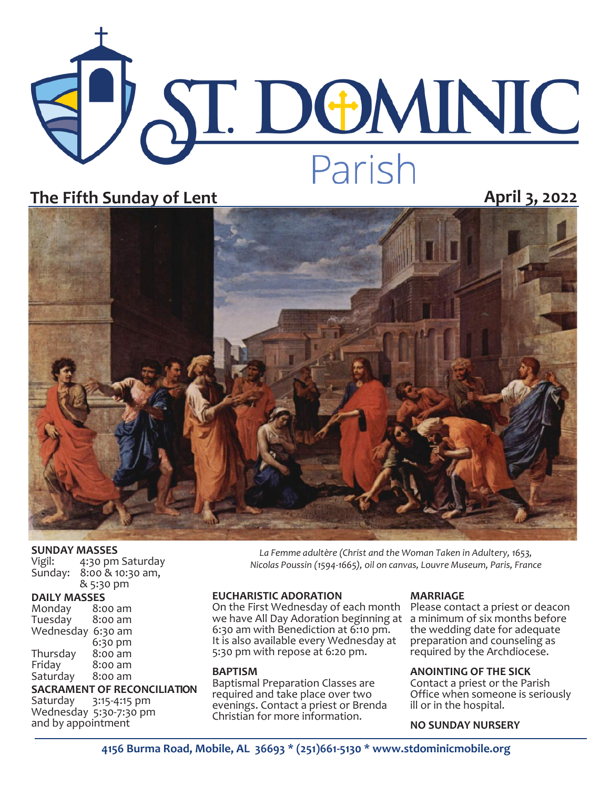# ST. DOMINIC Parish

## **The Fifth Sunday of Lent April 3, 2022**



#### **SUNDAY MASSES**

| Vigil:  | 4:30 pm Saturday |
|---------|------------------|
| Sunday: | 8:00 & 10:30 am, |
|         | & 5:30 pm        |

#### **DAILY MASSES**

| Monday    | 8:00 am |  |  |  |
|-----------|---------|--|--|--|
| Tuesday   | 8:00 am |  |  |  |
| Wednesday | 6:30 am |  |  |  |
|           | 6:30 pm |  |  |  |
| Thursday  | 8:00 am |  |  |  |
| Friday    | 8:00 am |  |  |  |
| Saturday  | 8:00 am |  |  |  |
|           |         |  |  |  |

# **SACRAMENT OF RECONCILIATION**<br>Saturday 3:15-4:15 pm

3:15-4:15 pm Wednesday 5:30-7:30 pm and by appointment

*La Femme adultère (Christ and the Woman Taken in Adultery, 1653, Nicolas Poussin (1594-1665), oil on canvas, Louvre Museum, Paris, France* 

#### **EUCHARISTIC ADORATION**

On the First Wednesday of each month Please contact a priest or deacon we have All Day Adoration beginning at a minimum of six months before 6:30 am with Benediction at 6:10 pm. It is also available every Wednesday at 5:30 pm with repose at 6:20 pm.

#### **BAPTISM**

Baptismal Preparation Classes are required and take place over two evenings. Contact a priest or Brenda Christian for more information.

#### **MARRIAGE**

the wedding date for adequate preparation and counseling as required by the Archdiocese.

#### **ANOINTING OF THE SICK**

Contact a priest or the Parish Office when someone is seriously ill or in the hospital.

#### **NO SUNDAY NURSERY**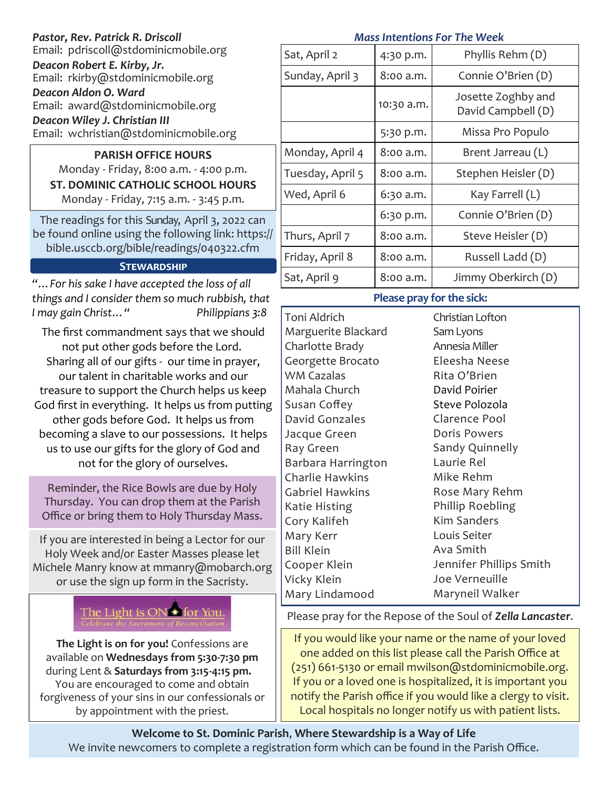| Pastor, Rev. Patrick R. Driscoll                                                                                                                                                                                                                                                                                                                                                                                                                                                                                                                                                                                                                                                                                                                                                                                                          | <b>Mass Intentions For The Week</b>                                                                                                                                                                                                                                                                                                                                                                                                     |            |                                                                                                                                                                                                                                                                                                                                                                    |  |  |
|-------------------------------------------------------------------------------------------------------------------------------------------------------------------------------------------------------------------------------------------------------------------------------------------------------------------------------------------------------------------------------------------------------------------------------------------------------------------------------------------------------------------------------------------------------------------------------------------------------------------------------------------------------------------------------------------------------------------------------------------------------------------------------------------------------------------------------------------|-----------------------------------------------------------------------------------------------------------------------------------------------------------------------------------------------------------------------------------------------------------------------------------------------------------------------------------------------------------------------------------------------------------------------------------------|------------|--------------------------------------------------------------------------------------------------------------------------------------------------------------------------------------------------------------------------------------------------------------------------------------------------------------------------------------------------------------------|--|--|
| Email: pdriscoll@stdominicmobile.org                                                                                                                                                                                                                                                                                                                                                                                                                                                                                                                                                                                                                                                                                                                                                                                                      | Sat, April 2                                                                                                                                                                                                                                                                                                                                                                                                                            | 4:30 p.m.  | Phyllis Rehm (D)                                                                                                                                                                                                                                                                                                                                                   |  |  |
| Deacon Robert E. Kirby, Jr.<br>Email: rkirby@stdominicmobile.org                                                                                                                                                                                                                                                                                                                                                                                                                                                                                                                                                                                                                                                                                                                                                                          | Sunday, April 3                                                                                                                                                                                                                                                                                                                                                                                                                         | 8:00 a.m.  | Connie O'Brien (D)                                                                                                                                                                                                                                                                                                                                                 |  |  |
| Deacon Aldon O. Ward<br>Email: award@stdominicmobile.org                                                                                                                                                                                                                                                                                                                                                                                                                                                                                                                                                                                                                                                                                                                                                                                  |                                                                                                                                                                                                                                                                                                                                                                                                                                         | 10:30 a.m. | Josette Zoghby and<br>David Campbell (D)                                                                                                                                                                                                                                                                                                                           |  |  |
| Deacon Wiley J. Christian III<br>Email: wchristian@stdominicmobile.org                                                                                                                                                                                                                                                                                                                                                                                                                                                                                                                                                                                                                                                                                                                                                                    |                                                                                                                                                                                                                                                                                                                                                                                                                                         | 5:30 p.m.  | Missa Pro Populo                                                                                                                                                                                                                                                                                                                                                   |  |  |
| <b>PARISH OFFICE HOURS</b>                                                                                                                                                                                                                                                                                                                                                                                                                                                                                                                                                                                                                                                                                                                                                                                                                | Monday, April 4                                                                                                                                                                                                                                                                                                                                                                                                                         | 8:00 a.m.  | Brent Jarreau (L)                                                                                                                                                                                                                                                                                                                                                  |  |  |
| Monday - Friday, 8:00 a.m. - 4:00 p.m.<br><b>ST. DOMINIC CATHOLIC SCHOOL HOURS</b>                                                                                                                                                                                                                                                                                                                                                                                                                                                                                                                                                                                                                                                                                                                                                        | Tuesday, April 5                                                                                                                                                                                                                                                                                                                                                                                                                        | 8:00 a.m.  | Stephen Heisler (D)                                                                                                                                                                                                                                                                                                                                                |  |  |
| Monday - Friday, 7:15 a.m. - 3:45 p.m.                                                                                                                                                                                                                                                                                                                                                                                                                                                                                                                                                                                                                                                                                                                                                                                                    | Wed, April 6                                                                                                                                                                                                                                                                                                                                                                                                                            | 6:30 a.m.  | Kay Farrell (L)                                                                                                                                                                                                                                                                                                                                                    |  |  |
| The readings for this Sunday, April 3, 2022 can                                                                                                                                                                                                                                                                                                                                                                                                                                                                                                                                                                                                                                                                                                                                                                                           |                                                                                                                                                                                                                                                                                                                                                                                                                                         | 6:30 p.m.  | Connie O'Brien (D)                                                                                                                                                                                                                                                                                                                                                 |  |  |
| be found online using the following link: https://                                                                                                                                                                                                                                                                                                                                                                                                                                                                                                                                                                                                                                                                                                                                                                                        | Thurs, April 7                                                                                                                                                                                                                                                                                                                                                                                                                          | 8:00 a.m.  | Steve Heisler (D)                                                                                                                                                                                                                                                                                                                                                  |  |  |
| bible.usccb.org/bible/readings/040322.cfm<br><b>STEWARDSHIP</b>                                                                                                                                                                                                                                                                                                                                                                                                                                                                                                                                                                                                                                                                                                                                                                           | Friday, April 8                                                                                                                                                                                                                                                                                                                                                                                                                         | 8:00 a.m.  | Russell Ladd (D)                                                                                                                                                                                                                                                                                                                                                   |  |  |
| " For his sake I have accepted the loss of all                                                                                                                                                                                                                                                                                                                                                                                                                                                                                                                                                                                                                                                                                                                                                                                            | Sat, April 9                                                                                                                                                                                                                                                                                                                                                                                                                            | 8:00 a.m.  | Jimmy Oberkirch (D)                                                                                                                                                                                                                                                                                                                                                |  |  |
| things and I consider them so much rubbish, that                                                                                                                                                                                                                                                                                                                                                                                                                                                                                                                                                                                                                                                                                                                                                                                          | Please pray for the sick:                                                                                                                                                                                                                                                                                                                                                                                                               |            |                                                                                                                                                                                                                                                                                                                                                                    |  |  |
| I may gain Christ"<br>Philippians 3:8<br>The first commandment says that we should<br>not put other gods before the Lord.<br>Sharing all of our gifts - our time in prayer,<br>our talent in charitable works and our<br>treasure to support the Church helps us keep<br>God first in everything. It helps us from putting<br>other gods before God. It helps us from<br>becoming a slave to our possessions. It helps<br>us to use our gifts for the glory of God and<br>not for the glory of ourselves.<br>Reminder, the Rice Bowls are due by Holy<br>Thursday. You can drop them at the Parish<br>Office or bring them to Holy Thursday Mass.<br>If you are interested in being a Lector for our<br>Holy Week and/or Easter Masses please let<br>Michele Manry know at mmanry@mobarch.org<br>or use the sign up form in the Sacristy. | Toni Aldrich<br>Marguerite Blackard<br>Charlotte Brady<br>Georgette Brocato<br><b>WM Cazalas</b><br>Mahala Church<br>Susan Coffey<br>David Gonzales<br>Jacque Green<br>Ray Green<br>Barbara Harrington<br>Charlie Hawkins<br><b>Gabriel Hawkins</b><br>Katie Histing<br>Cory Kalifeh<br>Mary Kerr<br><b>Bill Klein</b><br>Cooper Klein<br>Vicky Klein<br>Mary Lindamood                                                                 |            | Christian Lofton<br>Sam Lyons<br>Annesia Miller<br>Eleesha Neese<br>Rita O'Brien<br>David Poirier<br>Steve Polozola<br>Clarence Pool<br><b>Doris Powers</b><br>Sandy Quinnelly<br>Laurie Rel<br>Mike Rehm<br>Rose Mary Rehm<br>Phillip Roebling<br><b>Kim Sanders</b><br>Louis Seiter<br>Ava Smith<br>Jennifer Phillips Smith<br>Joe Verneuille<br>Maryneil Walker |  |  |
| The Light is ON * for You.<br>Celebrate the Sacrament of Reconciliation<br>The Light is on for you! Confessions are<br>available on Wednesdays from 5:30-7:30 pm<br>during Lent & Saturdays from 3:15-4:15 pm.<br>You are encouraged to come and obtain<br>forgiveness of your sins in our confessionals or<br>by appointment with the priest.                                                                                                                                                                                                                                                                                                                                                                                                                                                                                            | Please pray for the Repose of the Soul of <b>Zella Lancaster.</b><br>If you would like your name or the name of your loved<br>one added on this list please call the Parish Office at<br>(251) 661-5130 or email mwilson@stdominicmobile.org.<br>If you or a loved one is hospitalized, it is important you<br>notify the Parish office if you would like a clergy to visit.<br>Local hospitals no longer notify us with patient lists. |            |                                                                                                                                                                                                                                                                                                                                                                    |  |  |
| Welcome to St. Dominic Parish Where Stowardship is a Way of Life                                                                                                                                                                                                                                                                                                                                                                                                                                                                                                                                                                                                                                                                                                                                                                          |                                                                                                                                                                                                                                                                                                                                                                                                                                         |            |                                                                                                                                                                                                                                                                                                                                                                    |  |  |

**Welcome to St. Dominic Parish**, **Where Stewardship is a Way of Life**  We invite newcomers to complete a registration form which can be found in the Parish Office.